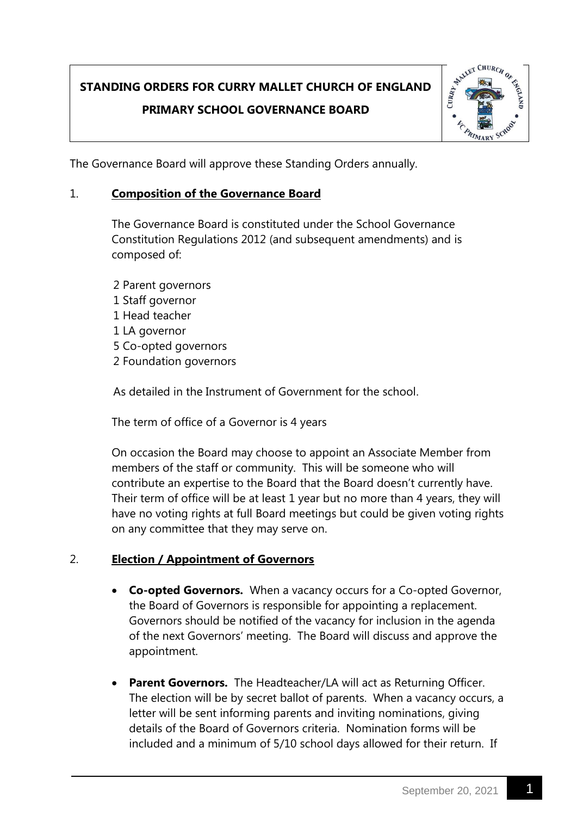# **STANDING ORDERS FOR CURRY MALLET CHURCH OF ENGLAND PRIMARY SCHOOL GOVERNANCE BOARD**



The Governance Board will approve these Standing Orders annually.

## 1. **Composition of the Governance Board**

The Governance Board is constituted under the School Governance Constitution Regulations 2012 (and subsequent amendments) and is composed of:

 Parent governors Staff governor Head teacher LA governor Co-opted governors Foundation governors

As detailed in the Instrument of Government for the school.

The term of office of a Governor is 4 years

On occasion the Board may choose to appoint an Associate Member from members of the staff or community. This will be someone who will contribute an expertise to the Board that the Board doesn't currently have. Their term of office will be at least 1 year but no more than 4 years, they will have no voting rights at full Board meetings but could be given voting rights on any committee that they may serve on.

# 2. **Election / Appointment of Governors**

- **Co-opted Governors.** When a vacancy occurs for a Co-opted Governor, the Board of Governors is responsible for appointing a replacement. Governors should be notified of the vacancy for inclusion in the agenda of the next Governors' meeting. The Board will discuss and approve the appointment.
- **Parent Governors.** The Headteacher/LA will act as Returning Officer. The election will be by secret ballot of parents. When a vacancy occurs, a letter will be sent informing parents and inviting nominations, giving details of the Board of Governors criteria. Nomination forms will be included and a minimum of 5/10 school days allowed for their return. If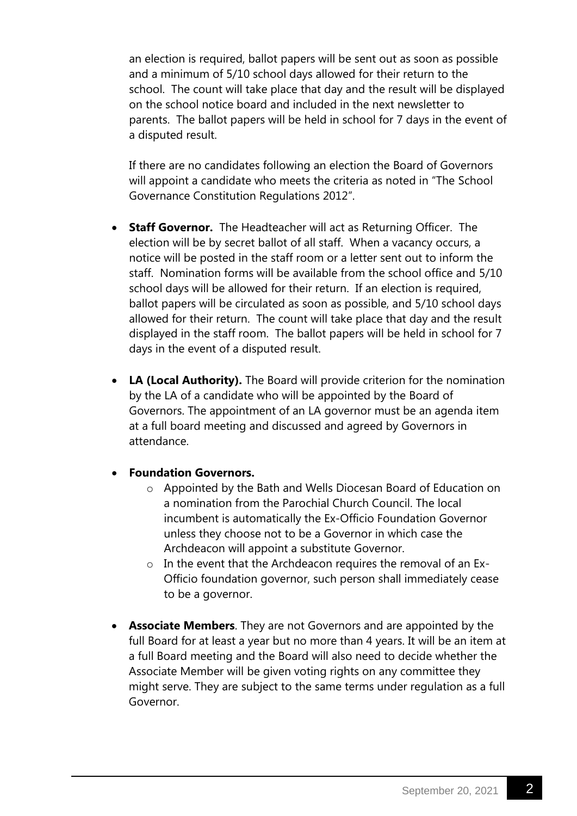an election is required, ballot papers will be sent out as soon as possible and a minimum of 5/10 school days allowed for their return to the school. The count will take place that day and the result will be displayed on the school notice board and included in the next newsletter to parents. The ballot papers will be held in school for 7 days in the event of a disputed result.

If there are no candidates following an election the Board of Governors will appoint a candidate who meets the criteria as noted in "The School Governance Constitution Regulations 2012".

- **Staff Governor.** The Headteacher will act as Returning Officer. The election will be by secret ballot of all staff. When a vacancy occurs, a notice will be posted in the staff room or a letter sent out to inform the staff. Nomination forms will be available from the school office and 5/10 school days will be allowed for their return. If an election is required, ballot papers will be circulated as soon as possible, and 5/10 school days allowed for their return. The count will take place that day and the result displayed in the staff room. The ballot papers will be held in school for 7 days in the event of a disputed result.
- LA (Local Authority). The Board will provide criterion for the nomination by the LA of a candidate who will be appointed by the Board of Governors. The appointment of an LA governor must be an agenda item at a full board meeting and discussed and agreed by Governors in attendance.

## **Foundation Governors.**

- o Appointed by the Bath and Wells Diocesan Board of Education on a nomination from the Parochial Church Council. The local incumbent is automatically the Ex-Officio Foundation Governor unless they choose not to be a Governor in which case the Archdeacon will appoint a substitute Governor.
- o In the event that the Archdeacon requires the removal of an Ex-Officio foundation governor, such person shall immediately cease to be a governor.
- **Associate Members**. They are not Governors and are appointed by the full Board for at least a year but no more than 4 years. It will be an item at a full Board meeting and the Board will also need to decide whether the Associate Member will be given voting rights on any committee they might serve. They are subject to the same terms under regulation as a full Governor.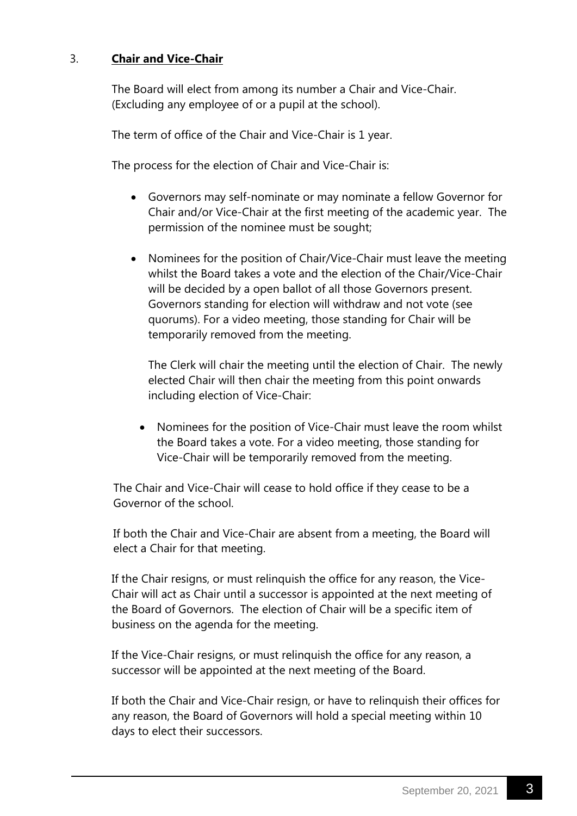# 3. **Chair and Vice-Chair**

The Board will elect from among its number a Chair and Vice-Chair. (Excluding any employee of or a pupil at the school).

The term of office of the Chair and Vice-Chair is 1 year.

The process for the election of Chair and Vice-Chair is:

- Governors may self-nominate or may nominate a fellow Governor for Chair and/or Vice-Chair at the first meeting of the academic year. The permission of the nominee must be sought;
- Nominees for the position of Chair/Vice-Chair must leave the meeting whilst the Board takes a vote and the election of the Chair/Vice-Chair will be decided by a open ballot of all those Governors present. Governors standing for election will withdraw and not vote (see quorums). For a video meeting, those standing for Chair will be temporarily removed from the meeting.

The Clerk will chair the meeting until the election of Chair. The newly elected Chair will then chair the meeting from this point onwards including election of Vice-Chair:

 Nominees for the position of Vice-Chair must leave the room whilst the Board takes a vote. For a video meeting, those standing for Vice-Chair will be temporarily removed from the meeting.

The Chair and Vice-Chair will cease to hold office if they cease to be a Governor of the school.

If both the Chair and Vice-Chair are absent from a meeting, the Board will elect a Chair for that meeting.

If the Chair resigns, or must relinquish the office for any reason, the Vice-Chair will act as Chair until a successor is appointed at the next meeting of the Board of Governors. The election of Chair will be a specific item of business on the agenda for the meeting.

If the Vice-Chair resigns, or must relinquish the office for any reason, a successor will be appointed at the next meeting of the Board.

If both the Chair and Vice-Chair resign, or have to relinquish their offices for any reason, the Board of Governors will hold a special meeting within 10 days to elect their successors.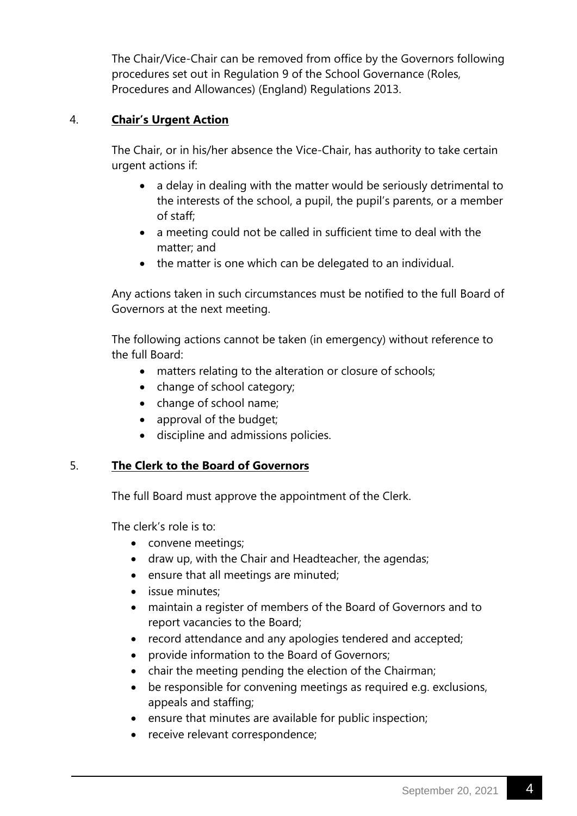The Chair/Vice-Chair can be removed from office by the Governors following procedures set out in Regulation 9 of the School Governance (Roles, Procedures and Allowances) (England) Regulations 2013.

# 4. **Chair's Urgent Action**

The Chair, or in his/her absence the Vice-Chair, has authority to take certain urgent actions if:

- a delay in dealing with the matter would be seriously detrimental to the interests of the school, a pupil, the pupil's parents, or a member of staff;
- a meeting could not be called in sufficient time to deal with the matter; and
- the matter is one which can be delegated to an individual.

Any actions taken in such circumstances must be notified to the full Board of Governors at the next meeting.

The following actions cannot be taken (in emergency) without reference to the full Board:

- matters relating to the alteration or closure of schools;
- change of school category;
- change of school name;
- approval of the budget;
- discipline and admissions policies.

## 5. **The Clerk to the Board of Governors**

The full Board must approve the appointment of the Clerk.

The clerk's role is to:

- convene meetings;
- draw up, with the Chair and Headteacher, the agendas;
- ensure that all meetings are minuted;
- issue minutes:
- maintain a register of members of the Board of Governors and to report vacancies to the Board;
- record attendance and any apologies tendered and accepted;
- provide information to the Board of Governors;
- chair the meeting pending the election of the Chairman;
- be responsible for convening meetings as required e.g. exclusions, appeals and staffing;
- ensure that minutes are available for public inspection;
- receive relevant correspondence;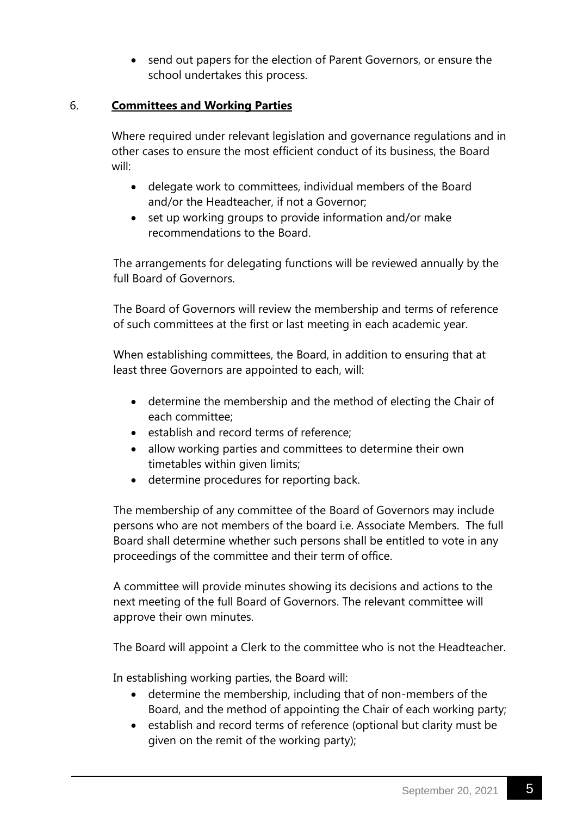• send out papers for the election of Parent Governors, or ensure the school undertakes this process.

## 6. **Committees and Working Parties**

Where required under relevant legislation and governance regulations and in other cases to ensure the most efficient conduct of its business, the Board will:

- delegate work to committees, individual members of the Board and/or the Headteacher, if not a Governor;
- set up working groups to provide information and/or make recommendations to the Board.

The arrangements for delegating functions will be reviewed annually by the full Board of Governors.

The Board of Governors will review the membership and terms of reference of such committees at the first or last meeting in each academic year.

When establishing committees, the Board, in addition to ensuring that at least three Governors are appointed to each, will:

- determine the membership and the method of electing the Chair of each committee;
- establish and record terms of reference;
- allow working parties and committees to determine their own timetables within given limits;
- determine procedures for reporting back.

The membership of any committee of the Board of Governors may include persons who are not members of the board i.e. Associate Members. The full Board shall determine whether such persons shall be entitled to vote in any proceedings of the committee and their term of office.

A committee will provide minutes showing its decisions and actions to the next meeting of the full Board of Governors. The relevant committee will approve their own minutes.

The Board will appoint a Clerk to the committee who is not the Headteacher.

In establishing working parties, the Board will:

- determine the membership, including that of non-members of the Board, and the method of appointing the Chair of each working party;
- establish and record terms of reference (optional but clarity must be given on the remit of the working party);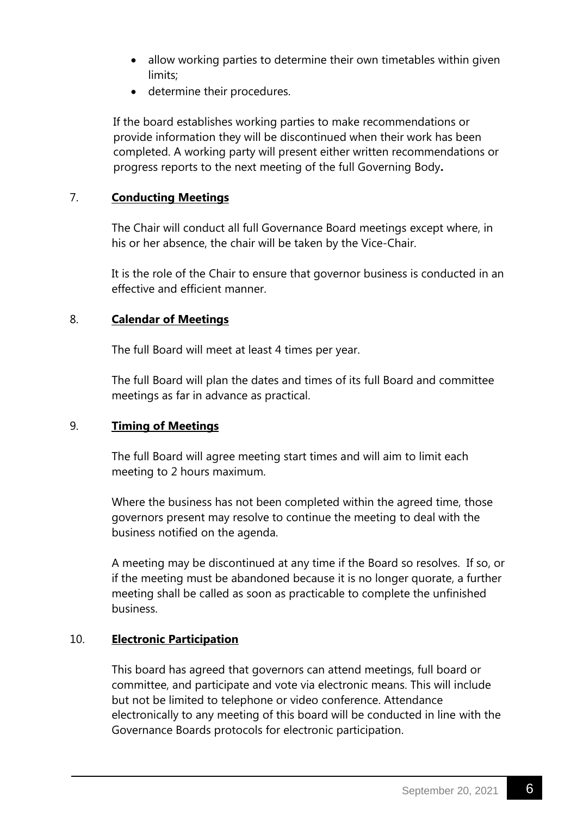- allow working parties to determine their own timetables within given limits;
- determine their procedures.

If the board establishes working parties to make recommendations or provide information they will be discontinued when their work has been completed. A working party will present either written recommendations or progress reports to the next meeting of the full Governing Body**.**

# 7. **Conducting Meetings**

The Chair will conduct all full Governance Board meetings except where, in his or her absence, the chair will be taken by the Vice-Chair.

It is the role of the Chair to ensure that governor business is conducted in an effective and efficient manner.

## 8. **Calendar of Meetings**

The full Board will meet at least 4 times per year.

The full Board will plan the dates and times of its full Board and committee meetings as far in advance as practical.

## 9. **Timing of Meetings**

The full Board will agree meeting start times and will aim to limit each meeting to 2 hours maximum.

Where the business has not been completed within the agreed time, those governors present may resolve to continue the meeting to deal with the business notified on the agenda.

A meeting may be discontinued at any time if the Board so resolves. If so, or if the meeting must be abandoned because it is no longer quorate, a further meeting shall be called as soon as practicable to complete the unfinished business.

## 10. **Electronic Participation**

This board has agreed that governors can attend meetings, full board or committee, and participate and vote via electronic means. This will include but not be limited to telephone or video conference. Attendance electronically to any meeting of this board will be conducted in line with the Governance Boards protocols for electronic participation.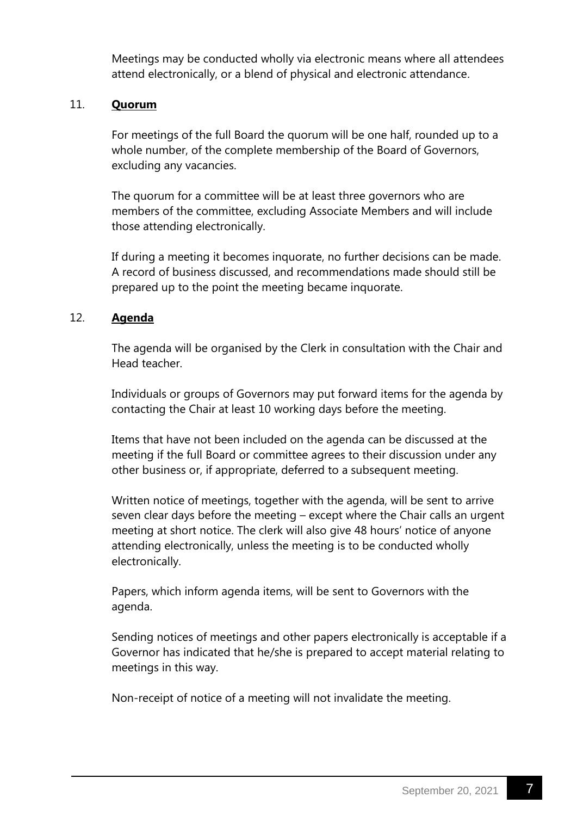Meetings may be conducted wholly via electronic means where all attendees attend electronically, or a blend of physical and electronic attendance.

## 11. **Quorum**

For meetings of the full Board the quorum will be one half, rounded up to a whole number, of the complete membership of the Board of Governors, excluding any vacancies.

The quorum for a committee will be at least three governors who are members of the committee, excluding Associate Members and will include those attending electronically.

If during a meeting it becomes inquorate, no further decisions can be made. A record of business discussed, and recommendations made should still be prepared up to the point the meeting became inquorate.

#### 12. **Agenda**

The agenda will be organised by the Clerk in consultation with the Chair and Head teacher.

Individuals or groups of Governors may put forward items for the agenda by contacting the Chair at least 10 working days before the meeting.

Items that have not been included on the agenda can be discussed at the meeting if the full Board or committee agrees to their discussion under any other business or, if appropriate, deferred to a subsequent meeting.

Written notice of meetings, together with the agenda, will be sent to arrive seven clear days before the meeting – except where the Chair calls an urgent meeting at short notice. The clerk will also give 48 hours' notice of anyone attending electronically, unless the meeting is to be conducted wholly electronically.

Papers, which inform agenda items, will be sent to Governors with the agenda.

Sending notices of meetings and other papers electronically is acceptable if a Governor has indicated that he/she is prepared to accept material relating to meetings in this way.

Non-receipt of notice of a meeting will not invalidate the meeting.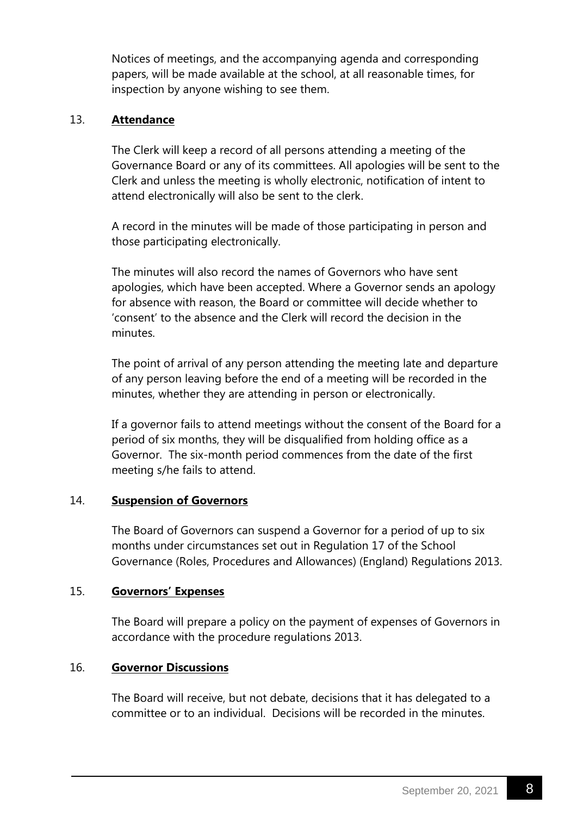Notices of meetings, and the accompanying agenda and corresponding papers, will be made available at the school, at all reasonable times, for inspection by anyone wishing to see them.

## 13. **Attendance**

The Clerk will keep a record of all persons attending a meeting of the Governance Board or any of its committees. All apologies will be sent to the Clerk and unless the meeting is wholly electronic, notification of intent to attend electronically will also be sent to the clerk.

A record in the minutes will be made of those participating in person and those participating electronically.

The minutes will also record the names of Governors who have sent apologies, which have been accepted. Where a Governor sends an apology for absence with reason, the Board or committee will decide whether to 'consent' to the absence and the Clerk will record the decision in the minutes.

The point of arrival of any person attending the meeting late and departure of any person leaving before the end of a meeting will be recorded in the minutes, whether they are attending in person or electronically.

If a governor fails to attend meetings without the consent of the Board for a period of six months, they will be disqualified from holding office as a Governor. The six-month period commences from the date of the first meeting s/he fails to attend.

## 14. **Suspension of Governors**

The Board of Governors can suspend a Governor for a period of up to six months under circumstances set out in Regulation 17 of the School Governance (Roles, Procedures and Allowances) (England) Regulations 2013.

## 15. **Governors' Expenses**

The Board will prepare a policy on the payment of expenses of Governors in accordance with the procedure regulations 2013.

## 16. **Governor Discussions**

The Board will receive, but not debate, decisions that it has delegated to a committee or to an individual. Decisions will be recorded in the minutes.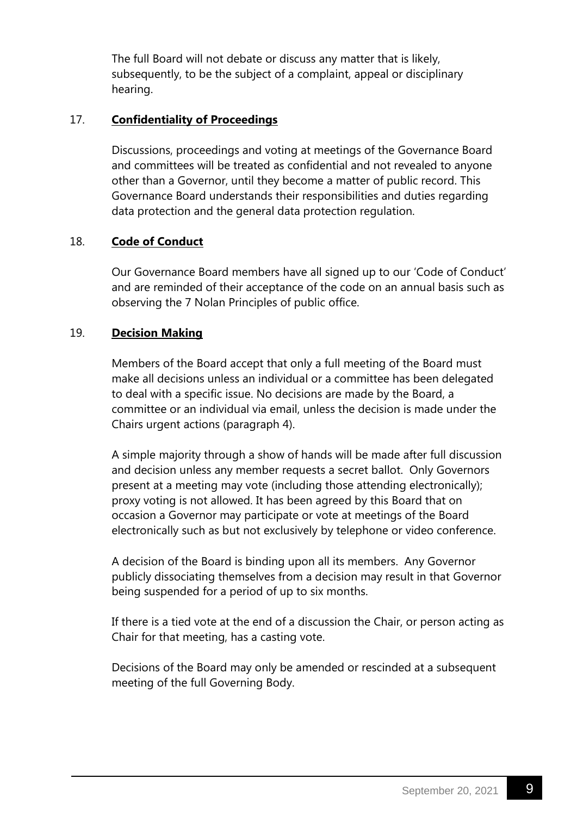The full Board will not debate or discuss any matter that is likely, subsequently, to be the subject of a complaint, appeal or disciplinary hearing.

## 17. **Confidentiality of Proceedings**

Discussions, proceedings and voting at meetings of the Governance Board and committees will be treated as confidential and not revealed to anyone other than a Governor, until they become a matter of public record. This Governance Board understands their responsibilities and duties regarding data protection and the general data protection regulation.

# 18. **Code of Conduct**

Our Governance Board members have all signed up to our 'Code of Conduct' and are reminded of their acceptance of the code on an annual basis such as observing the 7 Nolan Principles of public office.

## 19. **Decision Making**

Members of the Board accept that only a full meeting of the Board must make all decisions unless an individual or a committee has been delegated to deal with a specific issue. No decisions are made by the Board, a committee or an individual via email, unless the decision is made under the Chairs urgent actions (paragraph 4).

A simple majority through a show of hands will be made after full discussion and decision unless any member requests a secret ballot. Only Governors present at a meeting may vote (including those attending electronically); proxy voting is not allowed. It has been agreed by this Board that on occasion a Governor may participate or vote at meetings of the Board electronically such as but not exclusively by telephone or video conference.

A decision of the Board is binding upon all its members. Any Governor publicly dissociating themselves from a decision may result in that Governor being suspended for a period of up to six months.

If there is a tied vote at the end of a discussion the Chair, or person acting as Chair for that meeting, has a casting vote.

Decisions of the Board may only be amended or rescinded at a subsequent meeting of the full Governing Body.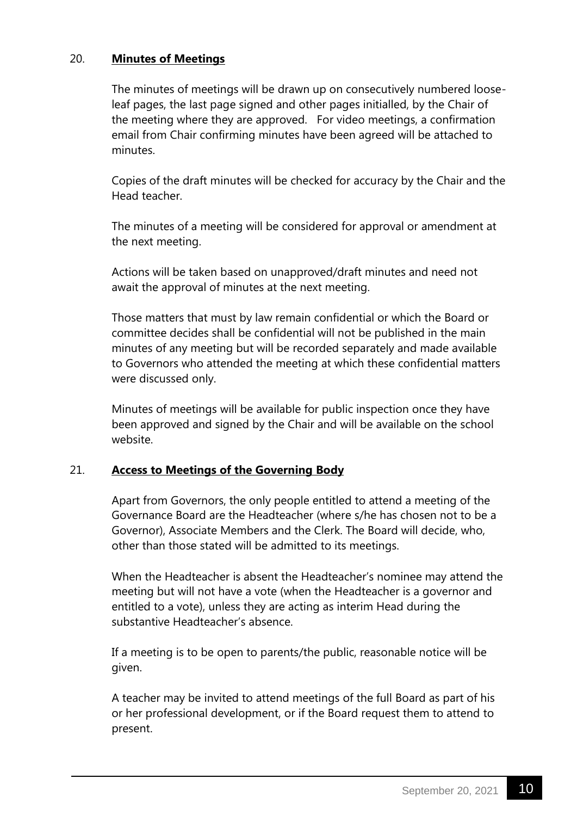## 20. **Minutes of Meetings**

The minutes of meetings will be drawn up on consecutively numbered looseleaf pages, the last page signed and other pages initialled, by the Chair of the meeting where they are approved. For video meetings, a confirmation email from Chair confirming minutes have been agreed will be attached to minutes.

Copies of the draft minutes will be checked for accuracy by the Chair and the Head teacher.

The minutes of a meeting will be considered for approval or amendment at the next meeting.

Actions will be taken based on unapproved/draft minutes and need not await the approval of minutes at the next meeting.

Those matters that must by law remain confidential or which the Board or committee decides shall be confidential will not be published in the main minutes of any meeting but will be recorded separately and made available to Governors who attended the meeting at which these confidential matters were discussed only.

Minutes of meetings will be available for public inspection once they have been approved and signed by the Chair and will be available on the school website.

## 21. **Access to Meetings of the Governing Body**

Apart from Governors, the only people entitled to attend a meeting of the Governance Board are the Headteacher (where s/he has chosen not to be a Governor), Associate Members and the Clerk. The Board will decide, who, other than those stated will be admitted to its meetings.

When the Headteacher is absent the Headteacher's nominee may attend the meeting but will not have a vote (when the Headteacher is a governor and entitled to a vote), unless they are acting as interim Head during the substantive Headteacher's absence.

If a meeting is to be open to parents/the public, reasonable notice will be given.

A teacher may be invited to attend meetings of the full Board as part of his or her professional development, or if the Board request them to attend to present.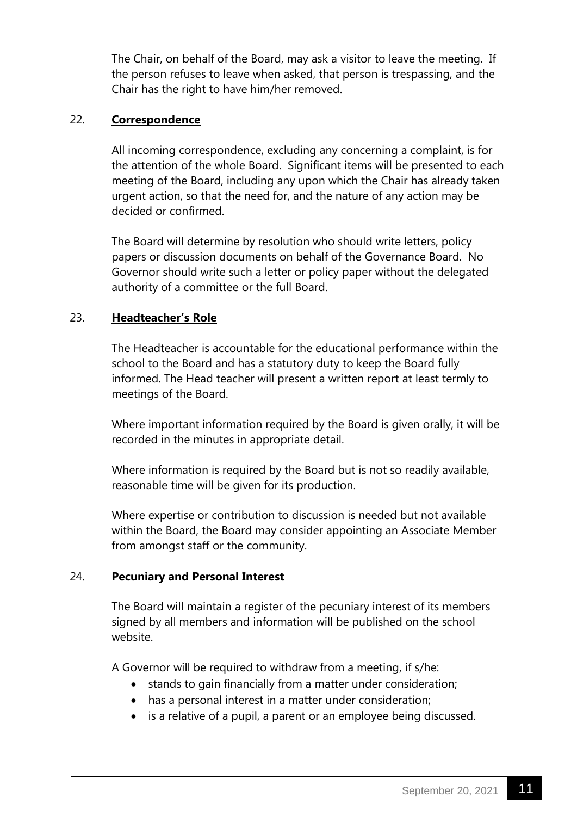The Chair, on behalf of the Board, may ask a visitor to leave the meeting. If the person refuses to leave when asked, that person is trespassing, and the Chair has the right to have him/her removed.

#### 22. **Correspondence**

All incoming correspondence, excluding any concerning a complaint, is for the attention of the whole Board. Significant items will be presented to each meeting of the Board, including any upon which the Chair has already taken urgent action, so that the need for, and the nature of any action may be decided or confirmed.

The Board will determine by resolution who should write letters, policy papers or discussion documents on behalf of the Governance Board. No Governor should write such a letter or policy paper without the delegated authority of a committee or the full Board.

## 23. **Headteacher's Role**

The Headteacher is accountable for the educational performance within the school to the Board and has a statutory duty to keep the Board fully informed. The Head teacher will present a written report at least termly to meetings of the Board.

Where important information required by the Board is given orally, it will be recorded in the minutes in appropriate detail.

Where information is required by the Board but is not so readily available, reasonable time will be given for its production.

Where expertise or contribution to discussion is needed but not available within the Board, the Board may consider appointing an Associate Member from amongst staff or the community.

## 24. **Pecuniary and Personal Interest**

The Board will maintain a register of the pecuniary interest of its members signed by all members and information will be published on the school website.

A Governor will be required to withdraw from a meeting, if s/he:

- stands to gain financially from a matter under consideration;
- has a personal interest in a matter under consideration;
- is a relative of a pupil, a parent or an employee being discussed.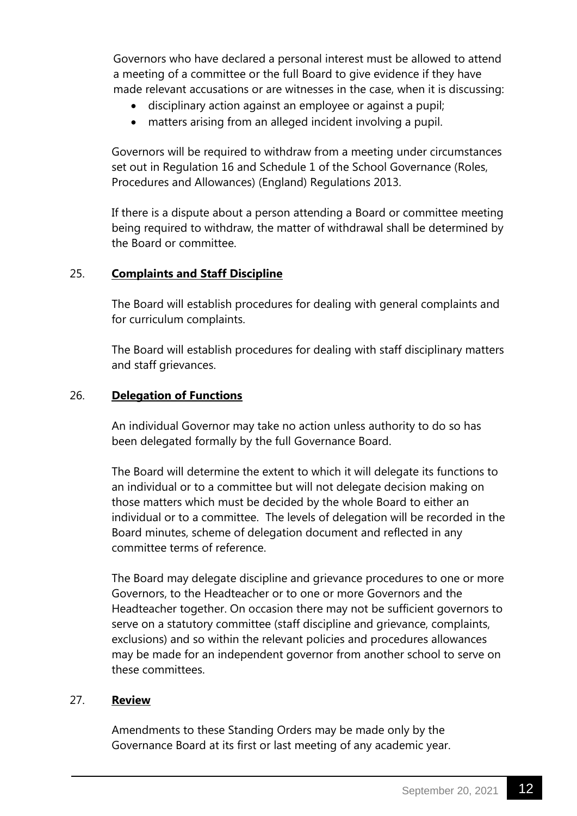Governors who have declared a personal interest must be allowed to attend a meeting of a committee or the full Board to give evidence if they have made relevant accusations or are witnesses in the case, when it is discussing:

- disciplinary action against an employee or against a pupil;
- matters arising from an alleged incident involving a pupil.

Governors will be required to withdraw from a meeting under circumstances set out in Regulation 16 and Schedule 1 of the School Governance (Roles, Procedures and Allowances) (England) Regulations 2013.

If there is a dispute about a person attending a Board or committee meeting being required to withdraw, the matter of withdrawal shall be determined by the Board or committee.

#### 25. **Complaints and Staff Discipline**

The Board will establish procedures for dealing with general complaints and for curriculum complaints.

The Board will establish procedures for dealing with staff disciplinary matters and staff grievances.

#### 26. **Delegation of Functions**

An individual Governor may take no action unless authority to do so has been delegated formally by the full Governance Board.

The Board will determine the extent to which it will delegate its functions to an individual or to a committee but will not delegate decision making on those matters which must be decided by the whole Board to either an individual or to a committee. The levels of delegation will be recorded in the Board minutes, scheme of delegation document and reflected in any committee terms of reference.

The Board may delegate discipline and grievance procedures to one or more Governors, to the Headteacher or to one or more Governors and the Headteacher together. On occasion there may not be sufficient governors to serve on a statutory committee (staff discipline and grievance, complaints, exclusions) and so within the relevant policies and procedures allowances may be made for an independent governor from another school to serve on these committees.

#### 27. **Review**

Amendments to these Standing Orders may be made only by the Governance Board at its first or last meeting of any academic year.